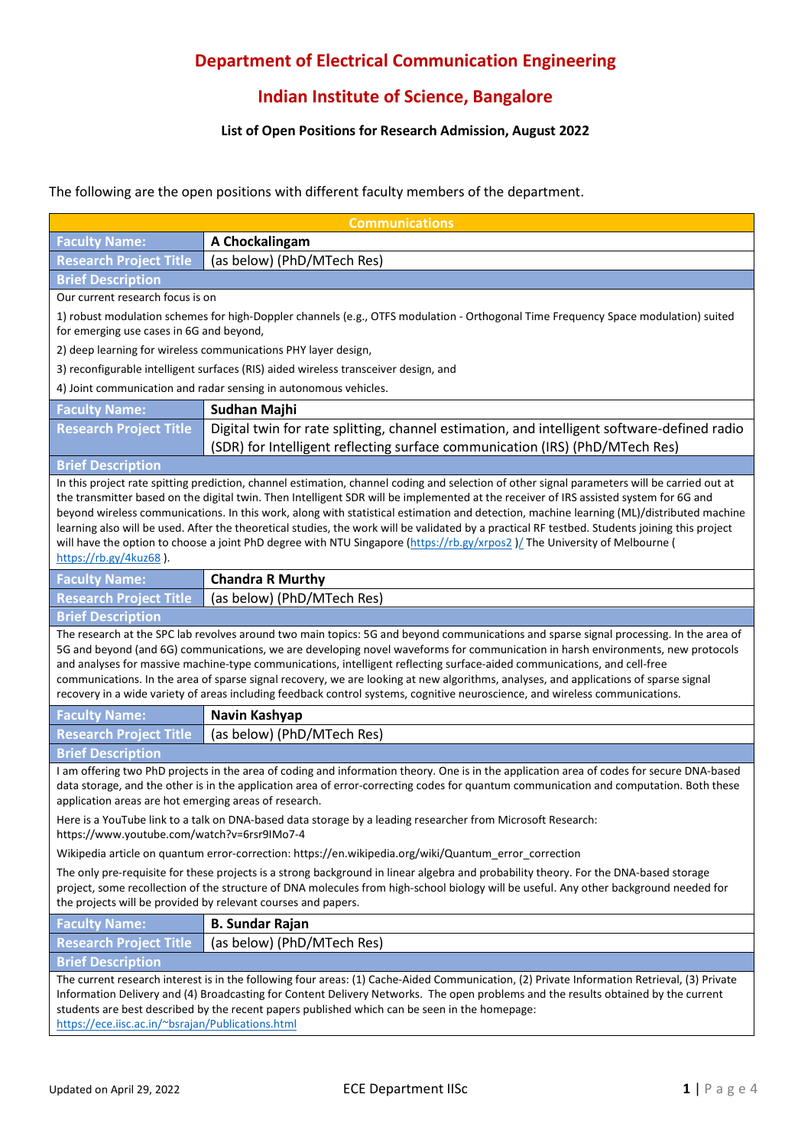## **Department of Electrical Communication Engineering**

## **Indian Institute of Science, Bangalore**

## **List of Open Positions for Research Admission, August 2022**

## The following are the open positions with different faculty members of the department.

| <b>Communications</b>                                                                                                                                                                                                                                                                                                                                                                                                                                                                                                                                                                                                                                                                                                                      |                                                                                                                                                                             |  |
|--------------------------------------------------------------------------------------------------------------------------------------------------------------------------------------------------------------------------------------------------------------------------------------------------------------------------------------------------------------------------------------------------------------------------------------------------------------------------------------------------------------------------------------------------------------------------------------------------------------------------------------------------------------------------------------------------------------------------------------------|-----------------------------------------------------------------------------------------------------------------------------------------------------------------------------|--|
| <b>Faculty Name:</b>                                                                                                                                                                                                                                                                                                                                                                                                                                                                                                                                                                                                                                                                                                                       | A Chockalingam                                                                                                                                                              |  |
| <b>Research Project Title</b>                                                                                                                                                                                                                                                                                                                                                                                                                                                                                                                                                                                                                                                                                                              | (as below) (PhD/MTech Res)                                                                                                                                                  |  |
| <b>Brief Description</b>                                                                                                                                                                                                                                                                                                                                                                                                                                                                                                                                                                                                                                                                                                                   |                                                                                                                                                                             |  |
| Our current research focus is on                                                                                                                                                                                                                                                                                                                                                                                                                                                                                                                                                                                                                                                                                                           |                                                                                                                                                                             |  |
| 1) robust modulation schemes for high-Doppler channels (e.g., OTFS modulation - Orthogonal Time Frequency Space modulation) suited<br>for emerging use cases in 6G and beyond,                                                                                                                                                                                                                                                                                                                                                                                                                                                                                                                                                             |                                                                                                                                                                             |  |
| 2) deep learning for wireless communications PHY layer design,                                                                                                                                                                                                                                                                                                                                                                                                                                                                                                                                                                                                                                                                             |                                                                                                                                                                             |  |
| 3) reconfigurable intelligent surfaces (RIS) aided wireless transceiver design, and                                                                                                                                                                                                                                                                                                                                                                                                                                                                                                                                                                                                                                                        |                                                                                                                                                                             |  |
| 4) Joint communication and radar sensing in autonomous vehicles.                                                                                                                                                                                                                                                                                                                                                                                                                                                                                                                                                                                                                                                                           |                                                                                                                                                                             |  |
| <b>Faculty Name:</b>                                                                                                                                                                                                                                                                                                                                                                                                                                                                                                                                                                                                                                                                                                                       | Sudhan Majhi                                                                                                                                                                |  |
| <b>Research Project Title</b>                                                                                                                                                                                                                                                                                                                                                                                                                                                                                                                                                                                                                                                                                                              | Digital twin for rate splitting, channel estimation, and intelligent software-defined radio<br>(SDR) for Intelligent reflecting surface communication (IRS) (PhD/MTech Res) |  |
| <b>Brief Description</b>                                                                                                                                                                                                                                                                                                                                                                                                                                                                                                                                                                                                                                                                                                                   |                                                                                                                                                                             |  |
| In this project rate spitting prediction, channel estimation, channel coding and selection of other signal parameters will be carried out at<br>the transmitter based on the digital twin. Then Intelligent SDR will be implemented at the receiver of IRS assisted system for 6G and<br>beyond wireless communications. In this work, along with statistical estimation and detection, machine learning (ML)/distributed machine<br>learning also will be used. After the theoretical studies, the work will be validated by a practical RF testbed. Students joining this project<br>will have the option to choose a joint PhD degree with NTU Singapore (https://rb.gy/xrpos2) The University of Melbourne (<br>https://rb.gy/4kuz68). |                                                                                                                                                                             |  |
| <b>Faculty Name:</b>                                                                                                                                                                                                                                                                                                                                                                                                                                                                                                                                                                                                                                                                                                                       | <b>Chandra R Murthy</b>                                                                                                                                                     |  |
| <b>Research Project Title</b>                                                                                                                                                                                                                                                                                                                                                                                                                                                                                                                                                                                                                                                                                                              | (as below) (PhD/MTech Res)                                                                                                                                                  |  |
| <b>Brief Description</b>                                                                                                                                                                                                                                                                                                                                                                                                                                                                                                                                                                                                                                                                                                                   |                                                                                                                                                                             |  |
| The research at the SPC lab revolves around two main topics: 5G and beyond communications and sparse signal processing. In the area of<br>5G and beyond (and 6G) communications, we are developing novel waveforms for communication in harsh environments, new protocols<br>and analyses for massive machine-type communications, intelligent reflecting surface-aided communications, and cell-free<br>communications. In the area of sparse signal recovery, we are looking at new algorithms, analyses, and applications of sparse signal<br>recovery in a wide variety of areas including feedback control systems, cognitive neuroscience, and wireless communications.                                                              |                                                                                                                                                                             |  |
| <b>Faculty Name:</b>                                                                                                                                                                                                                                                                                                                                                                                                                                                                                                                                                                                                                                                                                                                       | Navin Kashyap                                                                                                                                                               |  |
| <b>Research Project Title</b>                                                                                                                                                                                                                                                                                                                                                                                                                                                                                                                                                                                                                                                                                                              | (as below) (PhD/MTech Res)                                                                                                                                                  |  |
| <b>Brief Description</b>                                                                                                                                                                                                                                                                                                                                                                                                                                                                                                                                                                                                                                                                                                                   |                                                                                                                                                                             |  |
| I am offering two PhD projects in the area of coding and information theory. One is in the application area of codes for secure DNA-based<br>data storage, and the other is in the application area of error-correcting codes for quantum communication and computation. Both these<br>application areas are hot emerging areas of research.                                                                                                                                                                                                                                                                                                                                                                                               |                                                                                                                                                                             |  |
| Here is a YouTube link to a talk on DNA-based data storage by a leading researcher from Microsoft Research:<br>https://www.youtube.com/watch?v=6rsr9IMo7-4                                                                                                                                                                                                                                                                                                                                                                                                                                                                                                                                                                                 |                                                                                                                                                                             |  |
| Wikipedia article on quantum error-correction: https://en.wikipedia.org/wiki/Quantum_error_correction                                                                                                                                                                                                                                                                                                                                                                                                                                                                                                                                                                                                                                      |                                                                                                                                                                             |  |
| The only pre-requisite for these projects is a strong background in linear algebra and probability theory. For the DNA-based storage<br>project, some recollection of the structure of DNA molecules from high-school biology will be useful. Any other background needed for<br>the projects will be provided by relevant courses and papers.                                                                                                                                                                                                                                                                                                                                                                                             |                                                                                                                                                                             |  |
| <b>Faculty Name:</b>                                                                                                                                                                                                                                                                                                                                                                                                                                                                                                                                                                                                                                                                                                                       | <b>B. Sundar Rajan</b>                                                                                                                                                      |  |
| <b>Research Project Title</b>                                                                                                                                                                                                                                                                                                                                                                                                                                                                                                                                                                                                                                                                                                              | (as below) (PhD/MTech Res)                                                                                                                                                  |  |
| <b>Brief Description</b>                                                                                                                                                                                                                                                                                                                                                                                                                                                                                                                                                                                                                                                                                                                   |                                                                                                                                                                             |  |
| The current research interest is in the following four areas: (1) Cache-Aided Communication, (2) Private Information Retrieval, (3) Private<br>Information Delivery and (4) Broadcasting for Content Delivery Networks. The open problems and the results obtained by the current<br>students are best described by the recent papers published which can be seen in the homepage:<br>https://ece.iisc.ac.in/~bsrajan/Publications.html                                                                                                                                                                                                                                                                                                    |                                                                                                                                                                             |  |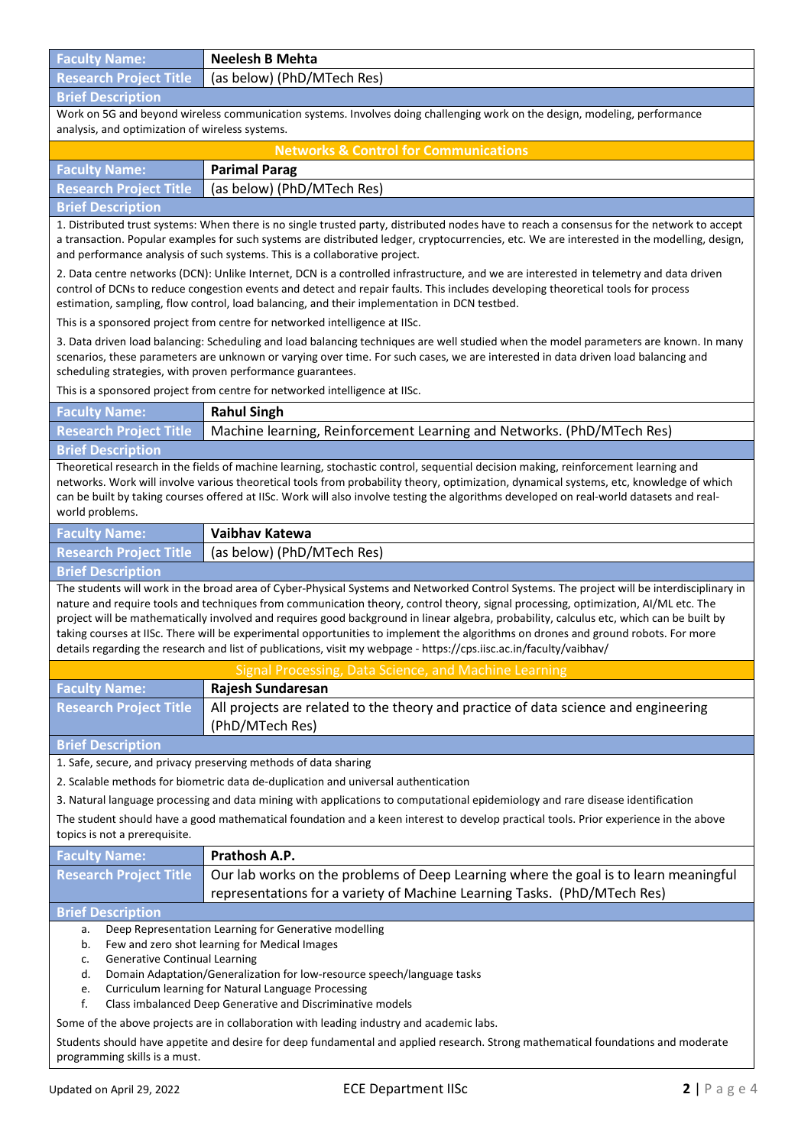**Faculty Name: Neelesh B Mehta Research Project Title** (as below) (PhD/MTech Res) **Brief Description** Work on 5G and beyond wireless communication systems. Involves doing challenging work on the design, modeling, performance analysis, and optimization of wireless systems. **Networks & Control for Communications Faculty Name: Parimal Parag Research Project Title** (as below) (PhD/MTech Res) **Brief Description** 1. Distributed trust systems: When there is no single trusted party, distributed nodes have to reach a consensus for the network to accept a transaction. Popular examples for such systems are distributed ledger, cryptocurrencies, etc. We are interested in the modelling, design, and performance analysis of such systems. This is a collaborative project. 2. Data centre networks (DCN): Unlike Internet, DCN is a controlled infrastructure, and we are interested in telemetry and data driven control of DCNs to reduce congestion events and detect and repair faults. This includes developing theoretical tools for process estimation, sampling, flow control, load balancing, and their implementation in DCN testbed. This is a sponsored project from centre for networked intelligence at IISc. 3. Data driven load balancing: Scheduling and load balancing techniques are well studied when the model parameters are known. In many scenarios, these parameters are unknown or varying over time. For such cases, we are interested in data driven load balancing and scheduling strategies, with proven performance guarantees. This is a sponsored project from centre for networked intelligence at IISc. **Faculty Name: Rahul Singh Research Project Title** Machine learning, Reinforcement Learning and Networks. (PhD/MTech Res) **Brief Description** Theoretical research in the fields of machine learning, stochastic control, sequential decision making, reinforcement learning and networks. Work will involve various theoretical tools from probability theory, optimization, dynamical systems, etc, knowledge of which can be built by taking courses offered at IISc. Work will also involve testing the algorithms developed on real-world datasets and realworld problems. **Faculty Name: Vaibhav Katewa Research Project Title** (as below) (PhD/MTech Res) **Brief Description** The students will work in the broad area of Cyber-Physical Systems and Networked Control Systems. The project will be interdisciplinary in nature and require tools and techniques from communication theory, control theory, signal processing, optimization, AI/ML etc. The project will be mathematically involved and requires good background in linear algebra, probability, calculus etc, which can be built by taking courses at IISc. There will be experimental opportunities to implement the algorithms on drones and ground robots. For more details regarding the research and list of publications, visit my webpage - <https://cps.iisc.ac.in/faculty/vaibhav/> Signal Processing, Data Science, and Machine **Faculty Name: Rajesh Sundaresan Research Project Title** All projects are related to the theory and practice of data science and engineering (PhD/MTech Res) **Brief Description** 1. Safe, secure, and privacy preserving methods of data sharing 2. Scalable methods for biometric data de-duplication and universal authentication 3. Natural language processing and data mining with applications to computational epidemiology and rare disease identification The student should have a good mathematical foundation and a keen interest to develop practical tools. Prior experience in the above topics is not a prerequisite. **Faculty Name: Prathosh A.P. Research Project Title** Our lab works on the problems of Deep Learning where the goal is to learn meaningful representations for a variety of Machine Learning Tasks. (PhD/MTech Res) **Brief Description** Deep Representation Learning for Generative modelling b. Few and zero shot learning for Medical Images c. Generative Continual Learning d. Domain Adaptation/Generalization for low-resource speech/language tasks e. Curriculum learning for Natural Language Processing f. Class imbalanced Deep Generative and Discriminative models Some of the above projects are in collaboration with leading industry and academic labs. Students should have appetite and desire for deep fundamental and applied research. Strong mathematical foundations and moderate programming skills is a must.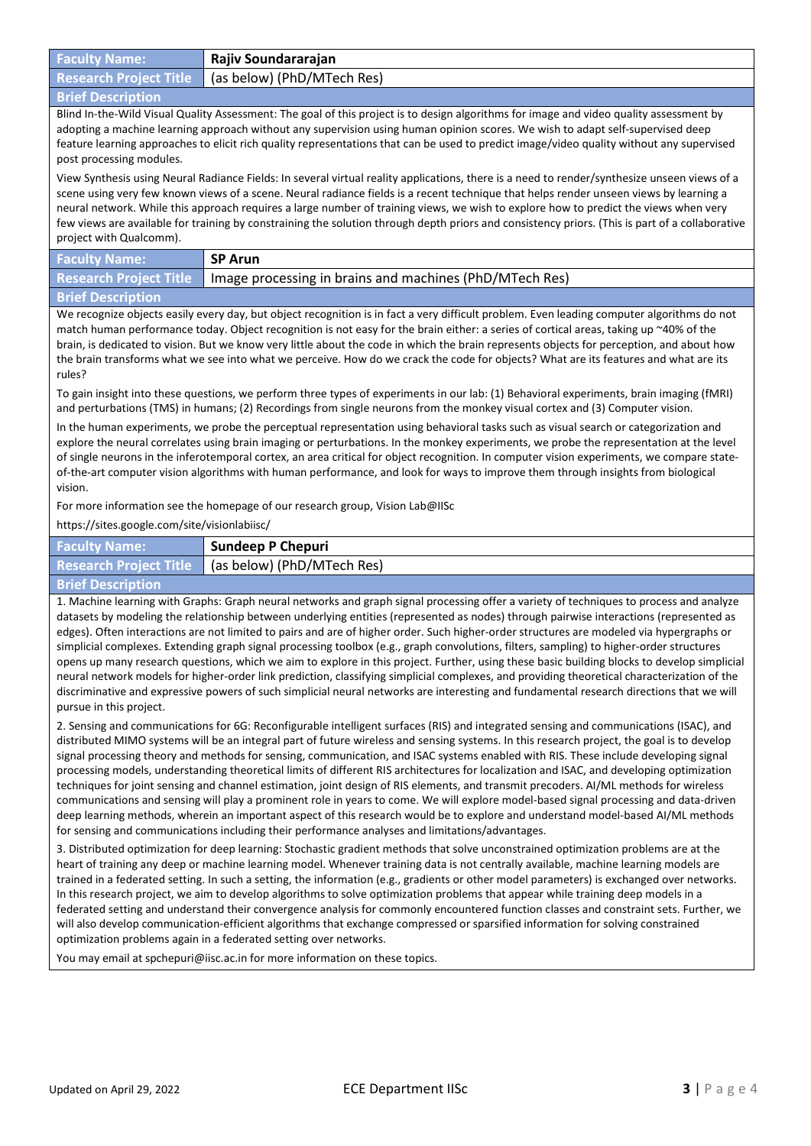| <b>Faculty Name:</b>                                                                                                                                                                                                                                                                                                                                                                                                                                                                                                                                                                                                                                                                                                                                                                                                                                                                                                                                                                                                                                                                                                                                                                    | Rajiv Soundararajan                                                                                                          |  |
|-----------------------------------------------------------------------------------------------------------------------------------------------------------------------------------------------------------------------------------------------------------------------------------------------------------------------------------------------------------------------------------------------------------------------------------------------------------------------------------------------------------------------------------------------------------------------------------------------------------------------------------------------------------------------------------------------------------------------------------------------------------------------------------------------------------------------------------------------------------------------------------------------------------------------------------------------------------------------------------------------------------------------------------------------------------------------------------------------------------------------------------------------------------------------------------------|------------------------------------------------------------------------------------------------------------------------------|--|
| <b>Research Project Title</b>                                                                                                                                                                                                                                                                                                                                                                                                                                                                                                                                                                                                                                                                                                                                                                                                                                                                                                                                                                                                                                                                                                                                                           | (as below) (PhD/MTech Res)                                                                                                   |  |
| <b>Brief Description</b>                                                                                                                                                                                                                                                                                                                                                                                                                                                                                                                                                                                                                                                                                                                                                                                                                                                                                                                                                                                                                                                                                                                                                                |                                                                                                                              |  |
| Blind In-the-Wild Visual Quality Assessment: The goal of this project is to design algorithms for image and video quality assessment by<br>adopting a machine learning approach without any supervision using human opinion scores. We wish to adapt self-supervised deep<br>feature learning approaches to elicit rich quality representations that can be used to predict image/video quality without any supervised<br>post processing modules.                                                                                                                                                                                                                                                                                                                                                                                                                                                                                                                                                                                                                                                                                                                                      |                                                                                                                              |  |
| View Synthesis using Neural Radiance Fields: In several virtual reality applications, there is a need to render/synthesize unseen views of a<br>scene using very few known views of a scene. Neural radiance fields is a recent technique that helps render unseen views by learning a<br>neural network. While this approach requires a large number of training views, we wish to explore how to predict the views when very<br>few views are available for training by constraining the solution through depth priors and consistency priors. (This is part of a collaborative<br>project with Qualcomm).                                                                                                                                                                                                                                                                                                                                                                                                                                                                                                                                                                            |                                                                                                                              |  |
| <b>Faculty Name:</b>                                                                                                                                                                                                                                                                                                                                                                                                                                                                                                                                                                                                                                                                                                                                                                                                                                                                                                                                                                                                                                                                                                                                                                    | <b>SP Arun</b>                                                                                                               |  |
| <b>Research Project Title</b>                                                                                                                                                                                                                                                                                                                                                                                                                                                                                                                                                                                                                                                                                                                                                                                                                                                                                                                                                                                                                                                                                                                                                           | Image processing in brains and machines (PhD/MTech Res)                                                                      |  |
| <b>Brief Description</b>                                                                                                                                                                                                                                                                                                                                                                                                                                                                                                                                                                                                                                                                                                                                                                                                                                                                                                                                                                                                                                                                                                                                                                |                                                                                                                              |  |
| We recognize objects easily every day, but object recognition is in fact a very difficult problem. Even leading computer algorithms do not<br>match human performance today. Object recognition is not easy for the brain either: a series of cortical areas, taking up ~40% of the<br>brain, is dedicated to vision. But we know very little about the code in which the brain represents objects for perception, and about how<br>the brain transforms what we see into what we perceive. How do we crack the code for objects? What are its features and what are its<br>rules?<br>To gain insight into these questions, we perform three types of experiments in our lab: (1) Behavioral experiments, brain imaging (fMRI)                                                                                                                                                                                                                                                                                                                                                                                                                                                          |                                                                                                                              |  |
|                                                                                                                                                                                                                                                                                                                                                                                                                                                                                                                                                                                                                                                                                                                                                                                                                                                                                                                                                                                                                                                                                                                                                                                         | and perturbations (TMS) in humans; (2) Recordings from single neurons from the monkey visual cortex and (3) Computer vision. |  |
| In the human experiments, we probe the perceptual representation using behavioral tasks such as visual search or categorization and<br>explore the neural correlates using brain imaging or perturbations. In the monkey experiments, we probe the representation at the level<br>of single neurons in the inferotemporal cortex, an area critical for object recognition. In computer vision experiments, we compare state-<br>of-the-art computer vision algorithms with human performance, and look for ways to improve them through insights from biological<br>vision.                                                                                                                                                                                                                                                                                                                                                                                                                                                                                                                                                                                                             |                                                                                                                              |  |
| For more information see the homepage of our research group, Vision Lab@IISc                                                                                                                                                                                                                                                                                                                                                                                                                                                                                                                                                                                                                                                                                                                                                                                                                                                                                                                                                                                                                                                                                                            |                                                                                                                              |  |
| https://sites.google.com/site/visionlabiisc/                                                                                                                                                                                                                                                                                                                                                                                                                                                                                                                                                                                                                                                                                                                                                                                                                                                                                                                                                                                                                                                                                                                                            |                                                                                                                              |  |
| <b>Faculty Name:</b>                                                                                                                                                                                                                                                                                                                                                                                                                                                                                                                                                                                                                                                                                                                                                                                                                                                                                                                                                                                                                                                                                                                                                                    | <b>Sundeep P Chepuri</b>                                                                                                     |  |
| <b>Research Project Title</b>                                                                                                                                                                                                                                                                                                                                                                                                                                                                                                                                                                                                                                                                                                                                                                                                                                                                                                                                                                                                                                                                                                                                                           | (as below) (PhD/MTech Res)                                                                                                   |  |
| <b>Brief Description</b>                                                                                                                                                                                                                                                                                                                                                                                                                                                                                                                                                                                                                                                                                                                                                                                                                                                                                                                                                                                                                                                                                                                                                                |                                                                                                                              |  |
| 1. Machine learning with Graphs: Graph neural networks and graph signal processing offer a variety of techniques to process and analyze<br>datasets by modeling the relationship between underlying entities (represented as nodes) through pairwise interactions (represented as<br>edges). Often interactions are not limited to pairs and are of higher order. Such higher-order structures are modeled via hypergraphs or<br>simplicial complexes. Extending graph signal processing toolbox (e.g., graph convolutions, filters, sampling) to higher-order structures<br>opens up many research questions, which we aim to explore in this project. Further, using these basic building blocks to develop simplicial<br>neural network models for higher-order link prediction, classifying simplicial complexes, and providing theoretical characterization of the<br>discriminative and expressive powers of such simplicial neural networks are interesting and fundamental research directions that we will<br>pursue in this project.<br>2. Sensing and communications for 6G: Reconfigurable intelligent surfaces (RIS) and integrated sensing and communications (ISAC), and |                                                                                                                              |  |
| distributed MIMO systems will be an integral part of future wireless and sensing systems. In this research project, the goal is to develop<br>signal processing theory and methods for sensing, communication, and ISAC systems enabled with RIS. These include developing signal<br>processing models, understanding theoretical limits of different RIS architectures for localization and ISAC, and developing optimization<br>techniques for joint sensing and channel estimation, joint design of RIS elements, and transmit precoders. AI/ML methods for wireless<br>communications and sensing will play a prominent role in years to come. We will explore model-based signal processing and data-driven<br>deep learning methods, wherein an important aspect of this research would be to explore and understand model-based AI/ML methods<br>for sensing and communications including their performance analyses and limitations/advantages.                                                                                                                                                                                                                                 |                                                                                                                              |  |
| 3. Distributed optimization for deep learning: Stochastic gradient methods that solve unconstrained optimization problems are at the<br>heart of training any deep or machine learning model. Whenever training data is not centrally available, machine learning models are<br>trained in a federated setting. In such a setting, the information (e.g., gradients or other model parameters) is exchanged over networks.<br>In this research project, we aim to develop algorithms to solve optimization problems that appear while training deep models in a<br>federated setting and understand their convergence analysis for commonly encountered function classes and constraint sets. Further, we<br>will also develop communication-efficient algorithms that exchange compressed or sparsified information for solving constrained<br>optimization problems again in a federated setting over networks.                                                                                                                                                                                                                                                                       |                                                                                                                              |  |
| You may email at spchepuri@iisc.ac.in for more information on these topics.                                                                                                                                                                                                                                                                                                                                                                                                                                                                                                                                                                                                                                                                                                                                                                                                                                                                                                                                                                                                                                                                                                             |                                                                                                                              |  |
|                                                                                                                                                                                                                                                                                                                                                                                                                                                                                                                                                                                                                                                                                                                                                                                                                                                                                                                                                                                                                                                                                                                                                                                         |                                                                                                                              |  |